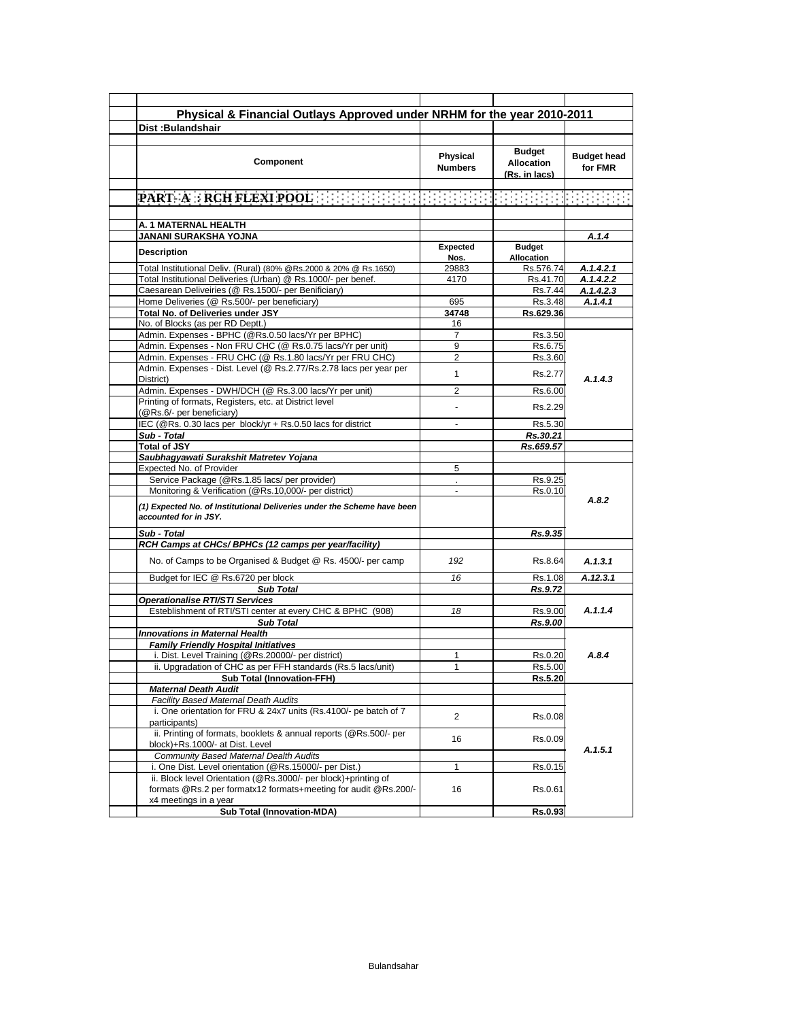| Dist: Bulandshair                                                                                                                                          |                                   | Physical & Financial Outlays Approved under NRHM for the year 2010-2011 |                               |
|------------------------------------------------------------------------------------------------------------------------------------------------------------|-----------------------------------|-------------------------------------------------------------------------|-------------------------------|
|                                                                                                                                                            |                                   |                                                                         |                               |
| <b>Component</b>                                                                                                                                           | <b>Physical</b><br><b>Numbers</b> | <b>Budget</b><br><b>Allocation</b><br>(Rs. in lacs)                     | <b>Budget head</b><br>for FMR |
|                                                                                                                                                            |                                   |                                                                         |                               |
|                                                                                                                                                            |                                   |                                                                         |                               |
| A. 1 MATERNAL HEALTH                                                                                                                                       |                                   |                                                                         |                               |
| <b>JANANI SURAKSHA YOJNA</b>                                                                                                                               |                                   |                                                                         | A.1.4                         |
| <b>Description</b>                                                                                                                                         | <b>Expected</b><br>Nos.           | <b>Budget</b><br>Allocation                                             |                               |
| Total Institutional Deliv. (Rural) (80% @Rs.2000 & 20% @ Rs.1650)                                                                                          | 29883                             | Rs.576.74                                                               | A.1.4.2.1                     |
| Total Institutional Deliveries (Urban) @ Rs.1000/- per benef.                                                                                              | 4170                              | Rs.41.70                                                                | A.1.4.2.2                     |
| Caesarean Deliveiries (@ Rs.1500/- per Benificiary)                                                                                                        |                                   | Rs.7.44                                                                 | A.1.4.2.3                     |
| Home Deliveries (@ Rs.500/- per beneficiary)                                                                                                               | 695                               | Rs.3.48                                                                 | A.1.4.1                       |
| Total No. of Deliveries under JSY                                                                                                                          | 34748                             | Rs.629.36                                                               |                               |
| No. of Blocks (as per RD Deptt.)                                                                                                                           | 16                                |                                                                         |                               |
| Admin. Expenses - BPHC (@Rs.0.50 lacs/Yr per BPHC)                                                                                                         | $\overline{7}$                    | Rs.3.50                                                                 |                               |
| Admin. Expenses - Non FRU CHC (@ Rs.0.75 lacs/Yr per unit)                                                                                                 | 9                                 | Rs.6.75                                                                 |                               |
| Admin. Expenses - FRU CHC (@ Rs.1.80 lacs/Yr per FRU CHC)                                                                                                  | 2                                 | Rs.3.60                                                                 |                               |
| Admin. Expenses - Dist. Level (@ Rs.2.77/Rs.2.78 lacs per year per                                                                                         | 1                                 | Rs.2.77                                                                 |                               |
| District)<br>Admin. Expenses - DWH/DCH (@ Rs.3.00 lacs/Yr per unit)                                                                                        | $\overline{2}$                    | Rs.6.00                                                                 | A.1.4.3                       |
| Printing of formats, Registers, etc. at District level                                                                                                     |                                   | Rs.2.29                                                                 |                               |
| (@Rs.6/- per beneficiary)<br>IEC (@Rs. 0.30 lacs per block/yr + Rs.0.50 lacs for district                                                                  |                                   | Rs.5.30                                                                 |                               |
| Sub - Total                                                                                                                                                |                                   | Rs.30.21                                                                |                               |
| <b>Total of JSY</b>                                                                                                                                        |                                   | Rs.659.57                                                               |                               |
| Saubhagyawati Surakshit Matretev Yojana                                                                                                                    |                                   |                                                                         |                               |
| Expected No. of Provider                                                                                                                                   | 5                                 |                                                                         |                               |
| Service Package (@Rs.1.85 lacs/ per provider)                                                                                                              |                                   | Rs.9.25                                                                 |                               |
| Monitoring & Verification (@Rs.10,000/- per district)                                                                                                      | $\sim$                            | Rs.0.10                                                                 |                               |
| (1) Expected No. of Institutional Deliveries under the Scheme have been<br>accounted for in JSY.                                                           |                                   |                                                                         | A.8.2                         |
| Sub - Total                                                                                                                                                |                                   | Rs.9.35                                                                 |                               |
| RCH Camps at CHCs/ BPHCs (12 camps per year/facility)                                                                                                      |                                   |                                                                         |                               |
| No. of Camps to be Organised & Budget @ Rs. 4500/- per camp                                                                                                | 192                               | Rs.8.64                                                                 | A.1.3.1                       |
| Budget for IEC @ Rs.6720 per block                                                                                                                         | 16                                | Rs.1.08                                                                 | A.12.3.1                      |
| <b>Sub Total</b>                                                                                                                                           |                                   | Rs.9.72                                                                 |                               |
| <b>Operationalise RTI/STI Services</b>                                                                                                                     |                                   |                                                                         |                               |
| Esteblishment of RTI/STI center at every CHC & BPHC (908)                                                                                                  | 18                                | Rs.9.00                                                                 | A.1.1.4                       |
| <b>Sub Total</b>                                                                                                                                           |                                   | Rs.9.00                                                                 |                               |
| <b>Innovations in Maternal Health</b>                                                                                                                      |                                   |                                                                         |                               |
| <b>Family Friendly Hospital Initiatives</b>                                                                                                                |                                   |                                                                         |                               |
| i. Dist. Level Training (@Rs.20000/- per district)                                                                                                         | 1                                 | Rs.0.20                                                                 | A.8.4                         |
| ii. Upgradation of CHC as per FFH standards (Rs.5 lacs/unit)                                                                                               | $\mathbf{1}$                      | Rs.5.00                                                                 |                               |
| <b>Sub Total (Innovation-FFH)</b>                                                                                                                          |                                   | Rs.5.20                                                                 |                               |
|                                                                                                                                                            |                                   |                                                                         |                               |
|                                                                                                                                                            |                                   |                                                                         |                               |
| <b>Maternal Death Audit</b>                                                                                                                                |                                   |                                                                         |                               |
| <b>Facility Based Maternal Death Audits</b><br>i. One orientation for FRU & 24x7 units (Rs.4100/- pe batch of 7                                            | $\overline{2}$                    | Rs.0.08                                                                 |                               |
| participants)<br>ii. Printing of formats, booklets & annual reports (@Rs.500/- per                                                                         | 16                                | Rs.0.09                                                                 |                               |
| block)+Rs.1000/- at Dist. Level                                                                                                                            |                                   |                                                                         | A.1.5.1                       |
| Community Based Maternal Dealth Audits                                                                                                                     |                                   |                                                                         |                               |
| i. One Dist. Level orientation (@Rs.15000/- per Dist.)                                                                                                     | $\mathbf{1}$                      | Rs.0.15                                                                 |                               |
| ii. Block level Orientation (@Rs.3000/- per block)+printing of<br>formats @Rs.2 per formatx12 formats+meeting for audit @Rs.200/-<br>x4 meetings in a year | 16                                | Rs.0.61                                                                 |                               |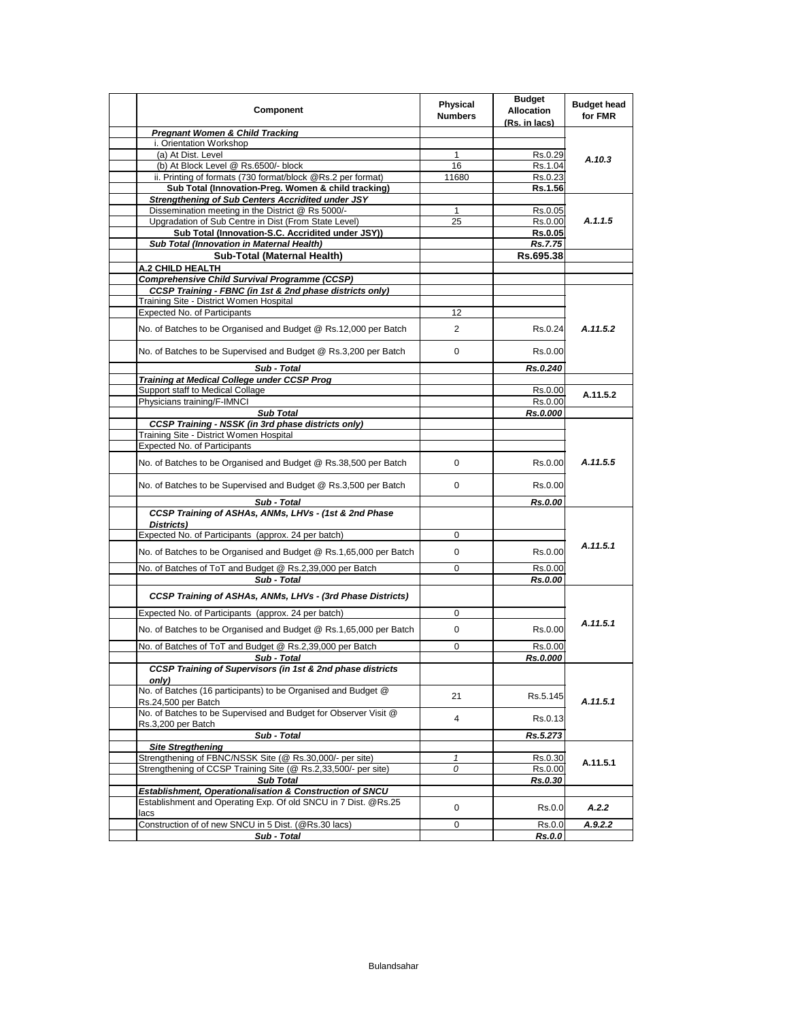| Component                                                                             | Physical<br><b>Numbers</b> | <b>Budget</b><br><b>Allocation</b><br>(Rs. in lacs) | <b>Budget head</b><br>for FMR |
|---------------------------------------------------------------------------------------|----------------------------|-----------------------------------------------------|-------------------------------|
| <b>Pregnant Women &amp; Child Tracking</b>                                            |                            |                                                     |                               |
| i. Orientation Workshop                                                               |                            |                                                     |                               |
| (a) At Dist. Level                                                                    | $\mathbf{1}$               | Rs.0.29                                             | A.10.3                        |
| (b) At Block Level @ Rs.6500/- block                                                  | 16                         | Rs.1.04                                             |                               |
| ii. Printing of formats (730 format/block @Rs.2 per format)                           | 11680                      | Rs.0.23                                             |                               |
| Sub Total (Innovation-Preg. Women & child tracking)                                   |                            | Rs.1.56                                             |                               |
| <b>Strengthening of Sub Centers Accridited under JSY</b>                              |                            |                                                     |                               |
| Dissemination meeting in the District @ Rs 5000/-                                     | $\mathbf{1}$               | Rs.0.05                                             |                               |
| Upgradation of Sub Centre in Dist (From State Level)                                  | 25                         | Rs.0.00                                             | A.1.1.5                       |
| Sub Total (Innovation-S.C. Accridited under JSY))                                     |                            | <b>Rs.0.05</b>                                      |                               |
| Sub Total (Innovation in Maternal Health)                                             |                            | <b>Rs.7.75</b>                                      |                               |
| Sub-Total (Maternal Health)                                                           |                            | Rs.695.38                                           |                               |
| A.2 CHILD HEALTH                                                                      |                            |                                                     |                               |
| <b>Comprehensive Child Survival Programme (CCSP)</b>                                  |                            |                                                     |                               |
| CCSP Training - FBNC (in 1st & 2nd phase districts only)                              |                            |                                                     |                               |
| Training Site - District Women Hospital                                               |                            |                                                     |                               |
| <b>Expected No. of Participants</b>                                                   | 12                         |                                                     |                               |
| No. of Batches to be Organised and Budget @ Rs.12,000 per Batch                       | 2                          | Rs.0.24                                             | A.11.5.2                      |
| No. of Batches to be Supervised and Budget @ Rs.3,200 per Batch                       | 0                          | Rs.0.00                                             |                               |
| Sub - Total                                                                           |                            | Rs.0.240                                            |                               |
| <b>Training at Medical College under CCSP Prog</b>                                    |                            |                                                     |                               |
| Support staff to Medical Collage                                                      |                            | Rs.0.00                                             |                               |
| Physicians training/F-IMNCI                                                           |                            | Rs.0.00                                             | A.11.5.2                      |
| <b>Sub Total</b>                                                                      |                            | Rs.0.000                                            |                               |
| <b>CCSP Training - NSSK (in 3rd phase districts only)</b>                             |                            |                                                     |                               |
| Training Site - District Women Hospital                                               |                            |                                                     |                               |
| <b>Expected No. of Participants</b>                                                   |                            |                                                     |                               |
| No. of Batches to be Organised and Budget @ Rs.38,500 per Batch                       | 0                          | Rs.0.00                                             | A.11.5.5                      |
| No. of Batches to be Supervised and Budget @ Rs.3,500 per Batch                       | 0                          | Rs.0.00                                             |                               |
| Sub - Total                                                                           |                            | Rs.0.00                                             |                               |
| CCSP Training of ASHAs, ANMs, LHVs - (1st & 2nd Phase                                 |                            |                                                     |                               |
| Districts)                                                                            |                            |                                                     |                               |
| Expected No. of Participants (approx. 24 per batch)                                   | 0                          |                                                     |                               |
| No. of Batches to be Organised and Budget @ Rs.1,65,000 per Batch                     | 0                          | Rs.0.00                                             | A.11.5.1                      |
|                                                                                       |                            |                                                     |                               |
| No. of Batches of ToT and Budget @ Rs.2,39,000 per Batch                              | 0                          | Rs.0.00                                             |                               |
| Sub - Total                                                                           |                            | Rs.0.00                                             |                               |
| CCSP Training of ASHAs, ANMs, LHVs - (3rd Phase Districts)                            |                            |                                                     |                               |
|                                                                                       |                            |                                                     |                               |
| Expected No. of Participants (approx. 24 per batch)                                   | 0                          |                                                     |                               |
| No. of Batches to be Organised and Budget @ Rs.1,65,000 per Batch                     | 0                          | Rs.0.00                                             | A.11.5.1                      |
| No. of Batches of ToT and Budget @ Rs.2,39,000 per Batch                              | 0                          | Rs.0.00                                             |                               |
| Sub - Total                                                                           |                            | Rs.0.000                                            |                               |
| <b>CCSP Training of Supervisors (in 1st &amp; 2nd phase districts</b><br>only)        |                            |                                                     |                               |
| No. of Batches (16 participants) to be Organised and Budget @<br>Rs.24,500 per Batch  | 21                         | Rs.5.145                                            | A.11.5.1                      |
| No. of Batches to be Supervised and Budget for Observer Visit @<br>Rs.3,200 per Batch | $\overline{4}$             | Rs.0.13                                             |                               |
| Sub - Total                                                                           |                            | Rs.5.273                                            |                               |
| <b>Site Stregthening</b>                                                              |                            |                                                     |                               |
| Strengthening of FBNC/NSSK Site (@ Rs.30,000/- per site)                              | 1                          | Rs.0.30                                             |                               |
| Strengthening of CCSP Training Site (@ Rs.2.33.500/- per site)                        | 0                          | Rs.0.00                                             | A.11.5.1                      |
| <b>Sub Total</b>                                                                      |                            | Rs.0.30                                             |                               |
| Establishment, Operationalisation & Construction of SNCU                              |                            |                                                     |                               |
| Establishment and Operating Exp. Of old SNCU in 7 Dist. @Rs.25                        |                            |                                                     |                               |
| lacs                                                                                  | 0                          | Rs.0.0                                              | A.2.2                         |
| Construction of of new SNCU in 5 Dist. (@Rs.30 lacs)                                  | 0                          | Rs.0.0                                              | A.9.2.2                       |
| Sub - Total                                                                           |                            | <b>Rs.0.0</b>                                       |                               |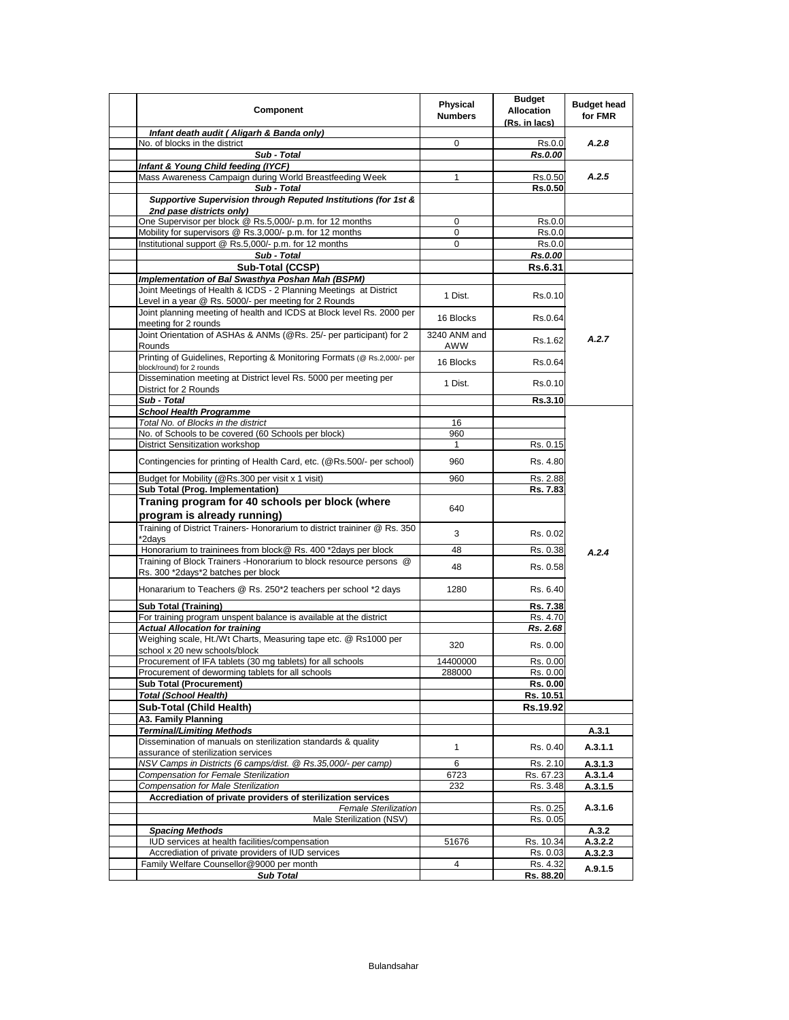| <b>Component</b>                                                                                                  | Physical<br><b>Numbers</b> | <b>Budget</b><br><b>Allocation</b><br>(Rs. in lacs) | <b>Budget head</b><br>for FMR |
|-------------------------------------------------------------------------------------------------------------------|----------------------------|-----------------------------------------------------|-------------------------------|
| Infant death audit (Aligarh & Banda only)                                                                         |                            |                                                     |                               |
| No. of blocks in the district                                                                                     | 0                          | Rs.0.0                                              | A.2.8                         |
| Sub - Total                                                                                                       |                            | Rs.0.00                                             |                               |
| Infant & Young Child feeding (IYCF)                                                                               |                            |                                                     |                               |
| Mass Awareness Campaign during World Breastfeeding Week                                                           | 1                          | Rs.0.50                                             | A.2.5                         |
| Sub - Total                                                                                                       |                            | <b>Rs.0.50</b>                                      |                               |
| Supportive Supervision through Reputed Institutions (for 1st &                                                    |                            |                                                     |                               |
| 2nd pase districts only)<br>One Supervisor per block @ Rs.5,000/- p.m. for 12 months                              |                            |                                                     |                               |
|                                                                                                                   | 0                          | Rs.0.0                                              |                               |
| Mobility for supervisors @ Rs.3,000/- p.m. for 12 months<br>Institutional support @ Rs.5,000/- p.m. for 12 months | 0<br>0                     | Rs.0.0                                              |                               |
|                                                                                                                   |                            | Rs.0.0                                              |                               |
| Sub - Total                                                                                                       |                            | Rs.0.00                                             |                               |
| Sub-Total (CCSP)                                                                                                  |                            | <b>Rs.6.31</b>                                      |                               |
| Implementation of Bal Swasthya Poshan Mah (BSPM)                                                                  |                            |                                                     |                               |
| Joint Meetings of Health & ICDS - 2 Planning Meetings at District                                                 | 1 Dist.                    | Rs.0.10                                             |                               |
| Level in a year @ Rs. 5000/- per meeting for 2 Rounds                                                             |                            |                                                     |                               |
| Joint planning meeting of health and ICDS at Block level Rs. 2000 per                                             | 16 Blocks                  | Rs.0.64                                             |                               |
| meeting for 2 rounds                                                                                              |                            |                                                     |                               |
| Joint Orientation of ASHAs & ANMs (@Rs. 25/- per participant) for 2                                               | 3240 ANM and               | Rs.1.62                                             | A.2.7                         |
| Rounds                                                                                                            | AWW                        |                                                     |                               |
| Printing of Guidelines, Reporting & Monitoring Formats (@ Rs.2,000/- per                                          | 16 Blocks                  | Rs.0.64                                             |                               |
| block/round) for 2 rounds<br>Dissemination meeting at District level Rs. 5000 per meeting per                     |                            |                                                     |                               |
| District for 2 Rounds                                                                                             | 1 Dist.                    | Rs.0.10                                             |                               |
| Sub - Total                                                                                                       |                            | Rs.3.10                                             |                               |
| <b>School Health Programme</b>                                                                                    |                            |                                                     |                               |
| Total No. of Blocks in the district                                                                               | 16                         |                                                     |                               |
| No. of Schools to be covered (60 Schools per block)                                                               | 960                        |                                                     |                               |
| District Sensitization workshop                                                                                   | 1                          | Rs. 0.15                                            |                               |
|                                                                                                                   |                            |                                                     |                               |
| Contingencies for printing of Health Card, etc. (@Rs.500/- per school)                                            | 960                        | Rs. 4.80                                            |                               |
| Budget for Mobility (@Rs.300 per visit x 1 visit)                                                                 | 960                        | Rs. 2.88                                            |                               |
| Sub Total (Prog. Implementation)                                                                                  |                            | Rs. 7.83                                            |                               |
| Traning program for 40 schools per block (where                                                                   |                            |                                                     |                               |
| program is already running)                                                                                       | 640                        |                                                     |                               |
| Training of District Trainers- Honorarium to district traininer @ Rs. 350                                         |                            |                                                     |                               |
| *2days                                                                                                            | 3                          | Rs. 0.02                                            |                               |
| Honorarium to traininees from block@ Rs. 400 *2days per block                                                     | 48                         | Rs. 0.38                                            |                               |
| Training of Block Trainers - Honorarium to block resource persons @                                               |                            |                                                     | A.2.4                         |
| Rs. 300 *2days*2 batches per block                                                                                | 48                         | Rs. 0.58                                            |                               |
|                                                                                                                   |                            |                                                     |                               |
| Honararium to Teachers @ Rs. 250*2 teachers per school *2 days                                                    | 1280                       | Rs. 6.40                                            |                               |
| <b>Sub Total (Training)</b>                                                                                       |                            | Rs. 7.38                                            |                               |
| For training program unspent balance is available at the district                                                 |                            | Rs. 4.70                                            |                               |
| <b>Actual Allocation for training</b>                                                                             |                            | Rs. 2.68                                            |                               |
| Weighing scale, Ht./Wt Charts, Measuring tape etc. @ Rs1000 per                                                   |                            |                                                     |                               |
| school x 20 new schools/block                                                                                     | 320                        | Rs. 0.00                                            |                               |
| Procurement of IFA tablets (30 mg tablets) for all schools                                                        | 14400000                   | Rs. 0.00                                            |                               |
| Procurement of deworming tablets for all schools                                                                  | 288000                     | Rs. 0.00                                            |                               |
| <b>Sub Total (Procurement)</b>                                                                                    |                            | Rs. 0.00                                            |                               |
| <b>Total (School Health)</b>                                                                                      |                            | Rs. 10.51                                           |                               |
| <b>Sub-Total (Child Health)</b>                                                                                   |                            | Rs.19.92                                            |                               |
| A3. Family Planning                                                                                               |                            |                                                     |                               |
| <b>Terminal/Limiting Methods</b>                                                                                  |                            |                                                     | A.3.1                         |
| Dissemination of manuals on sterilization standards & quality                                                     |                            |                                                     |                               |
| assurance of sterilization services                                                                               | 1                          | Rs. 0.40                                            | A.3.1.1                       |
| NSV Camps in Districts (6 camps/dist. @ Rs.35,000/- per camp)                                                     | 6                          | Rs. 2.10                                            | A.3.1.3                       |
| Compensation for Female Sterilization                                                                             | 6723                       | Rs. 67.23                                           | A.3.1.4                       |
| <b>Compensation for Male Sterilization</b>                                                                        | 232                        | Rs. 3.48                                            | A.3.1.5                       |
| Accrediation of private providers of sterilization services                                                       |                            |                                                     |                               |
| <b>Female Sterilization</b>                                                                                       |                            | Rs. 0.25                                            | A.3.1.6                       |
| Male Sterilization (NSV)                                                                                          |                            | Rs. 0.05                                            |                               |
| <b>Spacing Methods</b>                                                                                            |                            |                                                     | A.3.2                         |
| IUD services at health facilities/compensation                                                                    | 51676                      | Rs. 10.34                                           | A.3.2.2                       |
| Accrediation of private providers of IUD services                                                                 |                            | Rs. 0.03                                            | A.3.2.3                       |
| Family Welfare Counsellor@9000 per month                                                                          | 4                          | Rs. 4.32                                            |                               |
| <b>Sub Total</b>                                                                                                  |                            | Rs. 88.20                                           | A.9.1.5                       |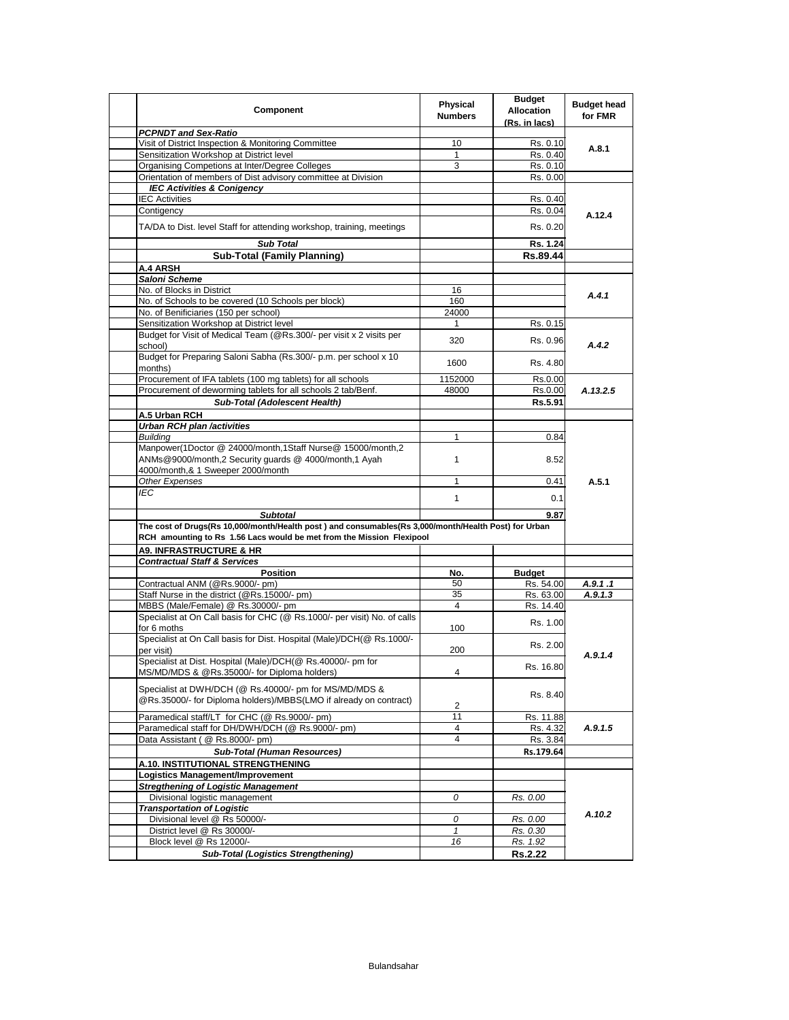| Component                                                                                                                   | Physical<br><b>Numbers</b> | <b>Budget</b><br><b>Allocation</b><br>(Rs. in lacs) | <b>Budget head</b><br>for FMR |
|-----------------------------------------------------------------------------------------------------------------------------|----------------------------|-----------------------------------------------------|-------------------------------|
| <b>PCPNDT and Sex-Ratio</b>                                                                                                 |                            |                                                     |                               |
| Visit of District Inspection & Monitoring Committee                                                                         | 10                         | Rs. 0.10                                            | A.8.1                         |
| Sensitization Workshop at District level                                                                                    | $\mathbf{1}$               | Rs. 0.40                                            |                               |
| Organising Competions at Inter/Degree Colleges                                                                              | 3                          | Rs. 0.10                                            |                               |
| Orientation of members of Dist advisory committee at Division                                                               |                            | Rs. 0.00                                            |                               |
| <b>IEC Activities &amp; Conigency</b>                                                                                       |                            |                                                     |                               |
| <b>IEC Activities</b>                                                                                                       |                            | Rs. 0.40                                            |                               |
| Contigency                                                                                                                  |                            | Rs. 0.04                                            | A.12.4                        |
| TA/DA to Dist. level Staff for attending workshop, training, meetings                                                       |                            | Rs. 0.20                                            |                               |
| <b>Sub Total</b>                                                                                                            |                            | Rs. 1.24                                            |                               |
| <b>Sub-Total (Family Planning)</b>                                                                                          |                            | Rs.89.44                                            |                               |
| A.4 ARSH                                                                                                                    |                            |                                                     |                               |
| Saloni Scheme                                                                                                               |                            |                                                     |                               |
| No. of Blocks in District                                                                                                   | 16                         |                                                     |                               |
| No. of Schools to be covered (10 Schools per block)                                                                         | 160                        |                                                     | A.4.1                         |
| No. of Benificiaries (150 per school)                                                                                       | 24000                      |                                                     |                               |
| Sensitization Workshop at District level                                                                                    | 1                          | Rs. 0.15                                            |                               |
| Budget for Visit of Medical Team (@Rs.300/- per visit x 2 visits per                                                        |                            |                                                     |                               |
| school)<br>Budget for Preparing Saloni Sabha (Rs.300/- p.m. per school x 10                                                 | 320                        | Rs. 0.96                                            | A.4.2                         |
| months)                                                                                                                     | 1600                       | Rs. 4.80                                            |                               |
| Procurement of IFA tablets (100 mg tablets) for all schools                                                                 | 1152000                    | Rs.0.00                                             |                               |
| Procurement of deworming tablets for all schools 2 tab/Benf.                                                                | 48000                      | Rs.0.00                                             | A.13.2.5                      |
| Sub-Total (Adolescent Health)                                                                                               |                            | Rs.5.91                                             |                               |
| A.5 Urban RCH                                                                                                               |                            |                                                     |                               |
| <b>Urban RCH plan /activities</b>                                                                                           |                            |                                                     |                               |
| <b>Building</b>                                                                                                             | $\mathbf{1}$               | 0.84                                                | A.5.1                         |
| Manpower(1Doctor @ 24000/month,1Staff Nurse@ 15000/month,2<br>ANMs@9000/month,2 Security quards @ 4000/month,1 Ayah         | $\mathbf{1}$               | 8.52                                                |                               |
| 4000/month,& 1 Sweeper 2000/month                                                                                           |                            |                                                     |                               |
| Other Expenses                                                                                                              | $\mathbf{1}$               | 0.41                                                |                               |
| IEC                                                                                                                         | $\mathbf{1}$               | 0.1                                                 |                               |
| <b>Subtotal</b>                                                                                                             |                            | 9.87                                                |                               |
| The cost of Drugs(Rs 10,000/month/Health post) and consumables(Rs 3,000/month/Health Post) for Urban                        |                            |                                                     |                               |
| RCH amounting to Rs 1.56 Lacs would be met from the Mission Flexipool                                                       |                            |                                                     |                               |
| <b>A9. INFRASTRUCTURE &amp; HR</b>                                                                                          |                            |                                                     |                               |
| <b>Contractual Staff &amp; Services</b>                                                                                     |                            |                                                     |                               |
| <b>Position</b>                                                                                                             | No.                        | <b>Budget</b>                                       |                               |
| Contractual ANM (@Rs.9000/- pm)                                                                                             | 50                         | Rs. 54.00                                           | A.9.1.1                       |
| Staff Nurse in the district (@Rs.15000/- pm)                                                                                | 35                         | Rs. 63.00                                           | A.9.1.3                       |
| MBBS (Male/Female) @ Rs.30000/- pm                                                                                          | $\overline{4}$             | Rs. 14.40                                           |                               |
| Specialist at On Call basis for CHC (@ Rs.1000/- per visit) No. of calls<br>for 6 moths                                     | 100                        | Rs. 1.00                                            |                               |
| Specialist at On Call basis for Dist. Hospital (Male)/DCH(@ Rs.1000/-<br>per visit)                                         | 200                        | Rs. 2.00                                            |                               |
| Specialist at Dist. Hospital (Male)/DCH(@ Rs.40000/- pm for<br>MS/MD/MDS & @Rs.35000/- for Diploma holders)                 | 4                          | Rs. 16.80                                           | A.9.1.4                       |
| Specialist at DWH/DCH (@ Rs.40000/- pm for MS/MD/MDS &<br>@Rs.35000/- for Diploma holders)/MBBS(LMO if already on contract) | 2                          | Rs. 8.40                                            |                               |
| Paramedical staff/LT for CHC (@ Rs.9000/- pm)                                                                               | 11                         | Rs. 11.88                                           |                               |
| Paramedical staff for DH/DWH/DCH (@ Rs.9000/- pm)                                                                           | 4                          | Rs. 4.32                                            | A.9.1.5                       |
| Data Assistant ( @ Rs.8000/- pm)                                                                                            | 4                          | Rs. 3.84                                            |                               |
| <b>Sub-Total (Human Resources)</b>                                                                                          |                            | Rs.179.64                                           |                               |
| A.10. INSTITUTIONAL STRENGTHENING                                                                                           |                            |                                                     |                               |
| Logistics Management/Improvement                                                                                            |                            |                                                     |                               |
| <b>Streathening of Logistic Management</b>                                                                                  |                            |                                                     |                               |
| Divisional logistic management                                                                                              | 0                          | Rs. 0.00                                            |                               |
| <b>Transportation of Logistic</b>                                                                                           |                            |                                                     |                               |
| Divisional level @ Rs 50000/-                                                                                               | 0                          | Rs. 0.00                                            | A.10.2                        |
| District level @ Rs 30000/-                                                                                                 | $\mathbf{1}$               | Rs. 0.30                                            |                               |
| Block level @ Rs 12000/-                                                                                                    | 16                         | Rs. 1.92                                            |                               |
|                                                                                                                             |                            |                                                     |                               |
| <b>Sub-Total (Logistics Strengthening)</b>                                                                                  |                            | <b>Rs.2.22</b>                                      |                               |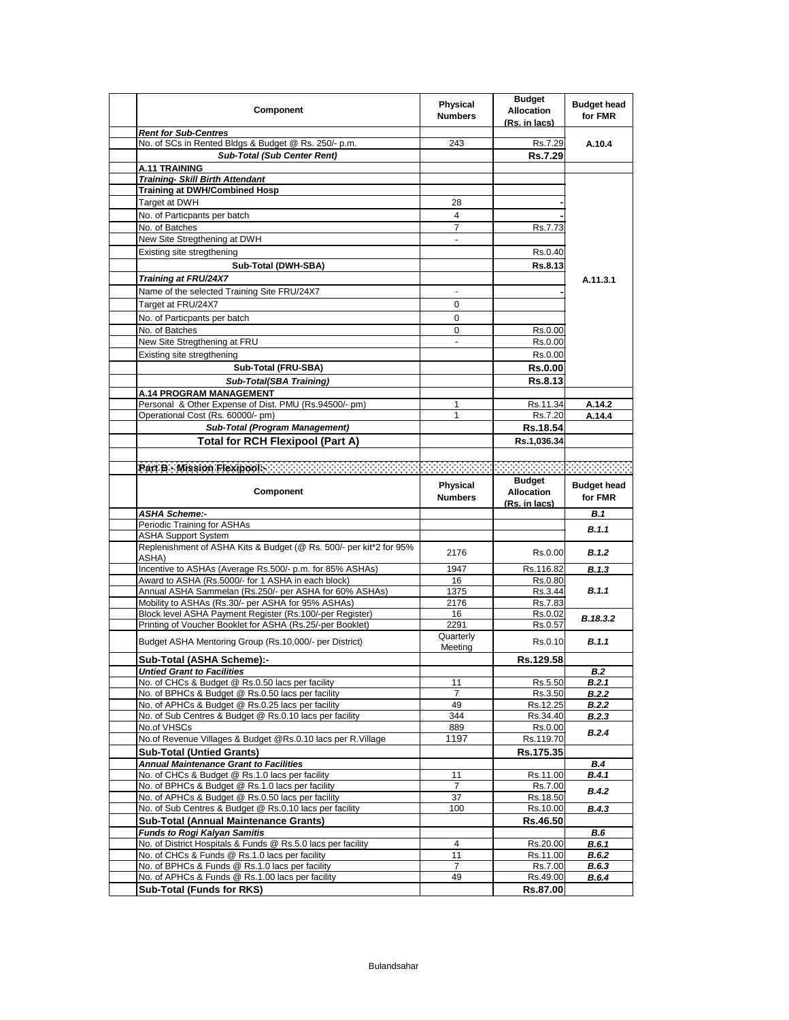| <b>Component</b>                                                                                    | Physical<br><b>Numbers</b>   | <b>Budget</b><br><b>Allocation</b><br>(Rs. in lacs) | <b>Budget head</b><br>for FMR |
|-----------------------------------------------------------------------------------------------------|------------------------------|-----------------------------------------------------|-------------------------------|
| <b>Rent for Sub-Centres</b>                                                                         |                              |                                                     |                               |
| No. of SCs in Rented Bldgs & Budget @ Rs. 250/- p.m.                                                | 243                          | Rs.7.29                                             | A.10.4                        |
| <b>Sub-Total (Sub Center Rent)</b>                                                                  |                              | Rs.7.29                                             |                               |
| A.11 TRAINING                                                                                       |                              |                                                     |                               |
| <b>Training- Skill Birth Attendant</b>                                                              |                              |                                                     |                               |
| <b>Training at DWH/Combined Hosp</b>                                                                |                              |                                                     |                               |
| Target at DWH                                                                                       | 28                           |                                                     |                               |
| No. of Particpants per batch                                                                        | 4                            |                                                     |                               |
| No. of Batches                                                                                      | $\overline{7}$               | Rs.7.73                                             |                               |
| New Site Stregthening at DWH                                                                        | $\blacksquare$               |                                                     |                               |
| Existing site stregthening                                                                          |                              | Rs.0.40                                             |                               |
| Sub-Total (DWH-SBA)                                                                                 |                              | Rs.8.13                                             |                               |
| Training at FRU/24X7                                                                                |                              |                                                     | A.11.3.1                      |
| Name of the selected Training Site FRU/24X7                                                         |                              |                                                     |                               |
| Target at FRU/24X7                                                                                  | $\Omega$                     |                                                     |                               |
|                                                                                                     | 0                            |                                                     |                               |
| No. of Particpants per batch                                                                        |                              |                                                     |                               |
| No. of Batches                                                                                      | 0                            | Rs.0.00                                             |                               |
| New Site Stregthening at FRU                                                                        | $\qquad \qquad \blacksquare$ | Rs.0.00                                             |                               |
| Existing site stregthening                                                                          |                              | Rs.0.00                                             |                               |
| Sub-Total (FRU-SBA)                                                                                 |                              | <b>Rs.0.00</b>                                      |                               |
| Sub-Total(SBA Training)                                                                             |                              | Rs.8.13                                             |                               |
| A.14 PROGRAM MANAGEMENT                                                                             |                              |                                                     |                               |
| Personal & Other Expense of Dist. PMU (Rs.94500/- pm)                                               | 1                            | Rs.11.34                                            | A.14.2                        |
| Operational Cost (Rs. 60000/- pm)                                                                   | 1                            | Rs.7.20                                             | A.14.4                        |
| <b>Sub-Total (Program Management)</b>                                                               |                              | Rs.18.54                                            |                               |
| <b>Total for RCH Flexipool (Part A)</b>                                                             |                              | Rs.1,036.34                                         |                               |
|                                                                                                     |                              |                                                     |                               |
| Par B - Mission Flexipools - A March 2007 March 2007 (2008) and a control of the Mission Flexipools |                              |                                                     |                               |
|                                                                                                     |                              | <b>Budget</b>                                       |                               |
| <b>Component</b>                                                                                    | <b>Physical</b>              | <b>Allocation</b>                                   | <b>Budget head</b>            |
|                                                                                                     | <b>Numbers</b>               | (Rs. in lacs)                                       | for FMR                       |
| <b>ASHA Scheme:-</b>                                                                                |                              |                                                     | <b>B.1</b>                    |
| Periodic Training for ASHAs                                                                         |                              |                                                     |                               |
| <b>ASHA Support System</b>                                                                          |                              |                                                     | B.1.1                         |
| Replenishment of ASHA Kits & Budget (@ Rs. 500/- per kit*2 for 95%                                  | 2176                         | Rs.0.00                                             | B.1.2                         |
| ASHA)                                                                                               |                              |                                                     |                               |
| Incentive to ASHAs (Average Rs.500/- p.m. for 85% ASHAs)                                            | 1947                         | Rs.116.82                                           | B.1.3                         |
| Award to ASHA (Rs.5000/- for 1 ASHA in each block)                                                  | 16                           | Rs.0.80                                             |                               |
| Annual ASHA Sammelan (Rs.250/- per ASHA for 60% ASHAs)                                              | 1375                         | Rs.3.44                                             | B.1.1                         |
| Mobility to ASHAs (Rs.30/- per ASHA for 95% ASHAs)                                                  | 2176                         | Rs.7.83                                             |                               |
| Block level ASHA Payment Register (Rs.100/-per Register)                                            | 16                           | Rs.0.02                                             | B.18.3.2                      |
| Printing of Voucher Booklet for ASHA (Rs.25/-per Booklet)                                           | 2291                         | Rs.0.57                                             |                               |
| Budget ASHA Mentoring Group (Rs.10,000/- per District)                                              | Quarterly                    | Rs.0.10                                             | B.1.1                         |
|                                                                                                     | Meeting                      | Rs.129.58                                           |                               |
| Sub-Total (ASHA Scheme):-                                                                           |                              |                                                     |                               |
| <b>Untied Grant to Facilities</b><br>No. of CHCs & Budget @ Rs.0.50 lacs per facility               | 11                           | Rs.5.50                                             | B.2<br>B.2.1                  |
| No. of BPHCs & Budget @ Rs.0.50 lacs per facility                                                   | 7                            | Rs.3.50                                             | <b>B.2.2</b>                  |
| No. of APHCs & Budget @ Rs.0.25 lacs per facility                                                   | 49                           | Rs.12.25                                            | B.2.2                         |
| No. of Sub Centres & Budget @ Rs.0.10 lacs per facility                                             | 344                          | Rs.34.40                                            | <b>B.2.3</b>                  |
| No.of VHSCs                                                                                         |                              |                                                     |                               |
|                                                                                                     |                              |                                                     |                               |
|                                                                                                     | 889                          | Rs.0.00                                             | B.2.4                         |
| No.of Revenue Villages & Budget @Rs.0.10 lacs per R.Village                                         | 1197                         | Rs.119.70                                           |                               |
| <b>Sub-Total (Untied Grants)</b>                                                                    |                              | Rs.175.35                                           |                               |
| <b>Annual Maintenance Grant to Facilities</b>                                                       |                              |                                                     | B.4                           |
| No. of CHCs & Budget @ Rs.1.0 lacs per facility                                                     | 11                           | Rs.11.00                                            | B.4.1                         |
| No. of BPHCs & Budget @ Rs.1.0 lacs per facility                                                    | 7                            | Rs.7.00                                             | <b>B.4.2</b>                  |
| No. of APHCs & Budget @ Rs.0.50 lacs per facility                                                   | 37                           | Rs.18.50                                            |                               |
| No. of Sub Centres & Budget @ Rs.0.10 lacs per facility                                             | 100                          | Rs.10.00                                            | B.4.3                         |
| <b>Sub-Total (Annual Maintenance Grants)</b>                                                        |                              | Rs.46.50                                            |                               |
| <b>Funds to Rogi Kalyan Samitis</b>                                                                 |                              |                                                     | B.6                           |
| No. of District Hospitals & Funds @ Rs.5.0 lacs per facility                                        | $\overline{4}$               | Rs.20.00                                            | <b>B.6.1</b>                  |
| No. of CHCs & Funds @ Rs.1.0 lacs per facility                                                      | 11                           | Rs.11.00                                            | <b>B.6.2</b>                  |
| No. of BPHCs & Funds @ Rs.1.0 lacs per facility                                                     | $\overline{7}$               | Rs.7.00                                             | B.6.3                         |
| No. of APHCs & Funds @ Rs.1.00 lacs per facility<br><b>Sub-Total (Funds for RKS)</b>                | 49                           | Rs.49.00<br>Rs.87.00                                | <b>B.6.4</b>                  |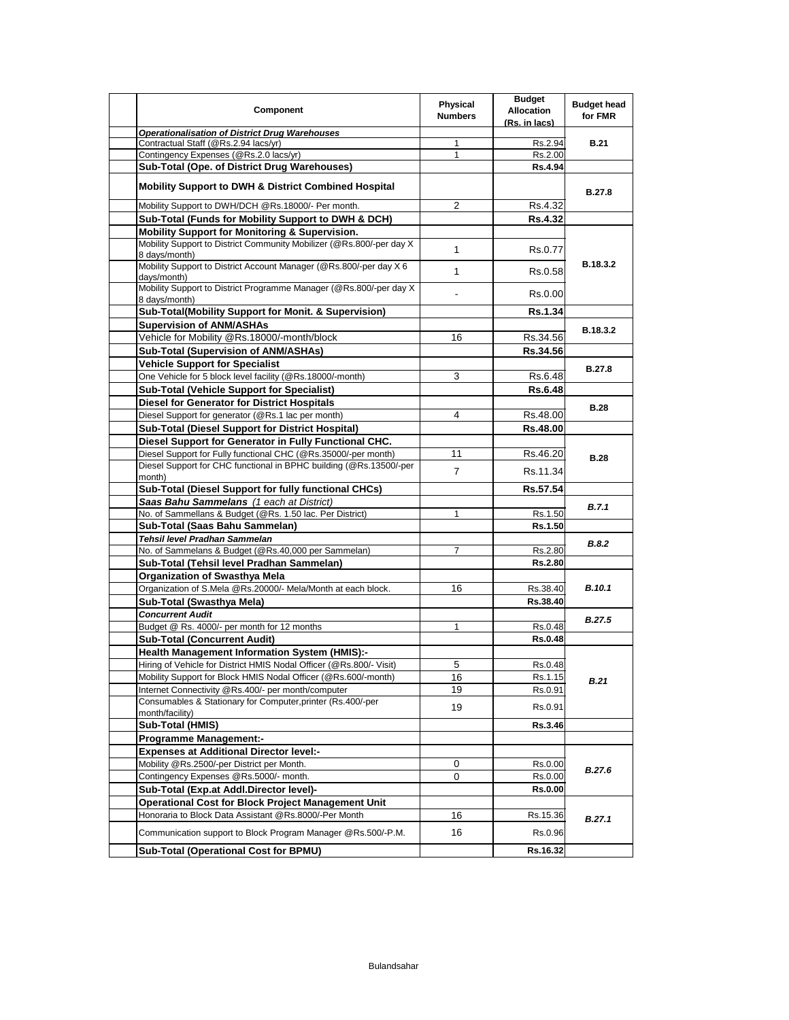| Component                                                                                             | Physical<br><b>Numbers</b> | <b>Budget</b><br><b>Allocation</b><br>(Rs. in lacs) | <b>Budget head</b><br>for FMR |
|-------------------------------------------------------------------------------------------------------|----------------------------|-----------------------------------------------------|-------------------------------|
| <b>Operationalisation of District Drug Warehouses</b>                                                 |                            |                                                     |                               |
| Contractual Staff (@Rs.2.94 lacs/yr)<br>Contingency Expenses (@Rs.2.0 lacs/yr)                        | $\mathbf{1}$<br>1          | Rs.2.94<br>Rs.2.00                                  | <b>B.21</b>                   |
| Sub-Total (Ope. of District Drug Warehouses)                                                          |                            | Rs.4.94                                             |                               |
|                                                                                                       |                            |                                                     |                               |
| <b>Mobility Support to DWH &amp; District Combined Hospital</b>                                       |                            |                                                     | <b>B.27.8</b>                 |
| Mobility Support to DWH/DCH @Rs.18000/- Per month.                                                    | 2                          | Rs.4.32                                             |                               |
| Sub-Total (Funds for Mobility Support to DWH & DCH)                                                   |                            | <b>Rs.4.32</b>                                      |                               |
| <b>Mobility Support for Monitoring &amp; Supervision.</b>                                             |                            |                                                     |                               |
| Mobility Support to District Community Mobilizer (@Rs.800/-per day X)<br>8 days/month)                | $\mathbf{1}$               | Rs.0.77                                             |                               |
| Mobility Support to District Account Manager (@Rs.800/-per day X 6<br>days/month)                     | $\mathbf{1}$               | Rs.0.58                                             | B.18.3.2                      |
| Mobility Support to District Programme Manager (@Rs.800/-per day X<br>8 days/month)                   |                            | Rs.0.00                                             |                               |
| Sub-Total(Mobility Support for Monit. & Supervision)                                                  |                            | <b>Rs.1.34</b>                                      |                               |
| <b>Supervision of ANM/ASHAs</b>                                                                       |                            |                                                     |                               |
| Vehicle for Mobility @Rs.18000/-month/block                                                           | 16                         | Rs.34.56                                            | B.18.3.2                      |
| <b>Sub-Total (Supervision of ANM/ASHAs)</b>                                                           |                            | Rs.34.56                                            |                               |
| <b>Vehicle Support for Specialist</b>                                                                 |                            |                                                     |                               |
| One Vehicle for 5 block level facility (@Rs.18000/-month)                                             | 3                          | Rs.6.48                                             | <b>B.27.8</b>                 |
| <b>Sub-Total (Vehicle Support for Specialist)</b>                                                     |                            | <b>Rs.6.48</b>                                      |                               |
| <b>Diesel for Generator for District Hospitals</b>                                                    |                            |                                                     |                               |
| Diesel Support for generator (@Rs.1 lac per month)                                                    | 4                          | Rs.48.00                                            | <b>B.28</b>                   |
| Sub-Total (Diesel Support for District Hospital)                                                      |                            | Rs.48.00                                            |                               |
| Diesel Support for Generator in Fully Functional CHC.                                                 |                            |                                                     |                               |
| Diesel Support for Fully functional CHC (@Rs.35000/-per month)                                        | 11                         | Rs.46.20                                            |                               |
| Diesel Support for CHC functional in BPHC building (@Rs.13500/-per                                    |                            |                                                     | <b>B.28</b>                   |
| month)                                                                                                | $\overline{7}$             | Rs.11.34                                            |                               |
| Sub-Total (Diesel Support for fully functional CHCs)                                                  |                            | Rs.57.54                                            |                               |
| Saas Bahu Sammelans (1 each at District)                                                              |                            |                                                     |                               |
| No. of Sammellans & Budget (@Rs. 1.50 lac. Per District)                                              | 1                          | Rs.1.50                                             | B.7.1                         |
| Sub-Total (Saas Bahu Sammelan)                                                                        |                            | Rs.1.50                                             |                               |
| Tehsil level Pradhan Sammelan                                                                         |                            |                                                     | B.8.2                         |
| No. of Sammelans & Budget (@Rs.40,000 per Sammelan)                                                   | 7                          | Rs.2.80                                             |                               |
| Sub-Total (Tehsil level Pradhan Sammelan)                                                             |                            | <b>Rs.2.80</b>                                      |                               |
| Organization of Swasthya Mela                                                                         |                            |                                                     |                               |
| Organization of S.Mela @Rs.20000/- Mela/Month at each block.                                          | 16                         | Rs.38.40                                            | <b>B.10.1</b>                 |
| Sub-Total (Swasthya Mela)                                                                             |                            | Rs.38.40                                            |                               |
| <b>Concurrent Audit</b>                                                                               |                            |                                                     | <b>B.27.5</b>                 |
| Budget @ Rs. 4000/- per month for 12 months                                                           | 1                          | Rs.0.48                                             |                               |
| <b>Sub-Total (Concurrent Audit)</b>                                                                   |                            | <b>Rs.0.48</b>                                      |                               |
| Health Management Information System (HMIS):-                                                         |                            |                                                     |                               |
| Hiring of Vehicle for District HMIS Nodal Officer (@Rs.800/- Visit)                                   | 5                          | Rs.0.48                                             |                               |
| Mobility Support for Block HMIS Nodal Officer (@Rs.600/-month)                                        | 16                         | Rs.1.15                                             | B.21                          |
| Internet Connectivity @Rs.400/- per month/computer                                                    | 19                         | Rs.0.91                                             |                               |
| Consumables & Stationary for Computer, printer (Rs.400/-per<br>month/facility)                        | 19                         | Rs.0.91                                             |                               |
| Sub-Total (HMIS)                                                                                      |                            | Rs.3.46                                             |                               |
| <b>Programme Management:-</b>                                                                         |                            |                                                     |                               |
| <b>Expenses at Additional Director level:-</b>                                                        |                            |                                                     |                               |
| Mobility @Rs.2500/-per District per Month.                                                            | 0                          | Rs.0.00                                             |                               |
| Contingency Expenses @Rs.5000/- month.                                                                | 0                          | Rs.0.00                                             | <b>B.27.6</b>                 |
| Sub-Total (Exp.at Addl.Director level)-                                                               |                            | Rs.0.00                                             |                               |
| Operational Cost for Block Project Management Unit                                                    |                            |                                                     |                               |
| Honoraria to Block Data Assistant @Rs.8000/-Per Month                                                 | 16                         | Rs.15.36                                            |                               |
|                                                                                                       |                            |                                                     | B.27.1                        |
| Communication support to Block Program Manager @Rs.500/-P.M.<br>Sub-Total (Operational Cost for BPMU) | 16                         | Rs.0.96<br>Rs.16.32                                 |                               |
|                                                                                                       |                            |                                                     |                               |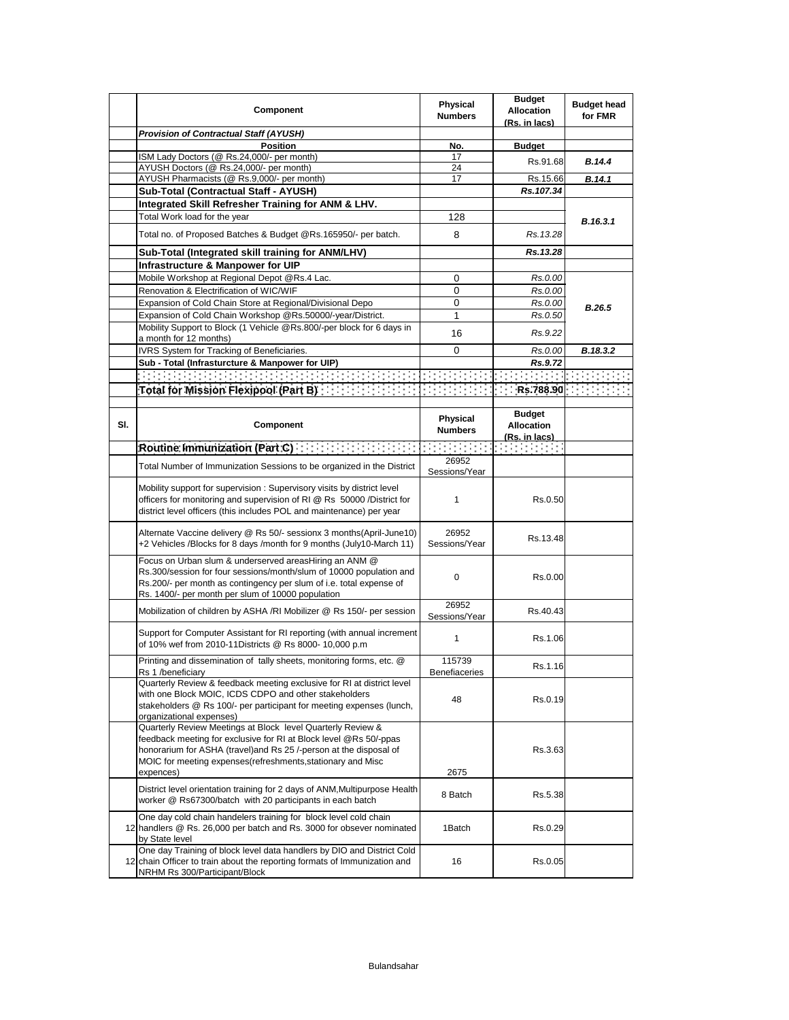|     | Component                                                                                                                                                                                                                                                                           | Physical<br><b>Numbers</b> | <b>Budget</b><br><b>Allocation</b><br>(Rs. in lacs)                                      | <b>Budget head</b><br>for FMR |
|-----|-------------------------------------------------------------------------------------------------------------------------------------------------------------------------------------------------------------------------------------------------------------------------------------|----------------------------|------------------------------------------------------------------------------------------|-------------------------------|
|     | <b>Provision of Contractual Staff (AYUSH)</b>                                                                                                                                                                                                                                       |                            |                                                                                          |                               |
|     | <b>Position</b>                                                                                                                                                                                                                                                                     | No.                        | <b>Budget</b>                                                                            |                               |
|     | ISM Lady Doctors (@ Rs.24,000/- per month)                                                                                                                                                                                                                                          | 17                         | Rs.91.68                                                                                 | B.14.4                        |
|     | AYUSH Doctors (@ Rs.24,000/- per month)                                                                                                                                                                                                                                             | 24                         |                                                                                          |                               |
|     | AYUSH Pharmacists (@ Rs.9,000/- per month)                                                                                                                                                                                                                                          | 17                         | Rs.15.66                                                                                 | B.14.1                        |
|     | Sub-Total (Contractual Staff - AYUSH)                                                                                                                                                                                                                                               |                            | Rs.107.34                                                                                |                               |
|     | Integrated Skill Refresher Training for ANM & LHV.                                                                                                                                                                                                                                  |                            |                                                                                          |                               |
|     | Total Work load for the year                                                                                                                                                                                                                                                        | 128                        |                                                                                          | B.16.3.1                      |
|     | Total no. of Proposed Batches & Budget @Rs.165950/- per batch.                                                                                                                                                                                                                      | 8                          | Rs. 13.28                                                                                |                               |
|     | Sub-Total (Integrated skill training for ANM/LHV)                                                                                                                                                                                                                                   |                            | Rs.13.28                                                                                 |                               |
|     | Infrastructure & Manpower for UIP                                                                                                                                                                                                                                                   |                            |                                                                                          |                               |
|     | Mobile Workshop at Regional Depot @Rs.4 Lac.                                                                                                                                                                                                                                        | 0                          | Rs.0.00                                                                                  |                               |
|     | Renovation & Electrification of WIC/WIF                                                                                                                                                                                                                                             | 0                          | Rs.0.00                                                                                  |                               |
|     | Expansion of Cold Chain Store at Regional/Divisional Depo                                                                                                                                                                                                                           | 0                          | Rs.0.00                                                                                  | B.26.5                        |
|     | Expansion of Cold Chain Workshop @Rs.50000/-year/District.                                                                                                                                                                                                                          | 1                          | Rs.0.50                                                                                  |                               |
|     | Mobility Support to Block (1 Vehicle @Rs.800/-per block for 6 days in<br>a month for 12 months)                                                                                                                                                                                     | 16                         | Rs.9.22                                                                                  |                               |
|     | IVRS System for Tracking of Beneficiaries.                                                                                                                                                                                                                                          | 0                          | Rs.0.00                                                                                  | B.18.3.2                      |
|     | Sub - Total (Infrasturcture & Manpower for UIP)                                                                                                                                                                                                                                     |                            | Rs.9.72                                                                                  |                               |
|     |                                                                                                                                                                                                                                                                                     |                            |                                                                                          |                               |
|     |                                                                                                                                                                                                                                                                                     |                            |                                                                                          |                               |
|     | Total for Mission Plexipool (Part B): $\{1, 2, 3, 4, 5, 6, 7, 8, 788.90\}$ , $\{1, 3, 4, 6, 7, 8, 788.90\}$ , $\{1, 3, 4, 5, 6, 7, 8, 7, 8, 8, 90\}$                                                                                                                                |                            |                                                                                          |                               |
| SI. | Component                                                                                                                                                                                                                                                                           | Physical<br><b>Numbers</b> | <b>Budget</b><br><b>Allocation</b><br>(Rs. in lacs)                                      |                               |
|     | Routine Immunization (Part C) [19] Routine Immunization                                                                                                                                                                                                                             | <b>Service State</b>       | $\mathcal{L}(\mathcal{A})$ and $\mathcal{L}(\mathcal{A})$ and $\mathcal{L}(\mathcal{A})$ |                               |
|     | Total Number of Immunization Sessions to be organized in the District                                                                                                                                                                                                               | 26952<br>Sessions/Year     |                                                                                          |                               |
|     | Mobility support for supervision: Supervisory visits by district level<br>officers for monitoring and supervision of RI @ Rs 50000 /District for<br>district level officers (this includes POL and maintenance) per year                                                            | 1                          | Rs.0.50                                                                                  |                               |
|     | Alternate Vaccine delivery @ Rs 50/- sessionx 3 months (April-June 10)<br>+2 Vehicles /Blocks for 8 days /month for 9 months (July10-March 11)                                                                                                                                      | 26952<br>Sessions/Year     | Rs.13.48                                                                                 |                               |
|     | Focus on Urban slum & underserved areasHiring an ANM @<br>Rs.300/session for four sessions/month/slum of 10000 population and<br>Rs.200/- per month as contingency per slum of i.e. total expense of<br>Rs. 1400/- per month per slum of 10000 population                           | 0                          | Rs.0.00                                                                                  |                               |
|     | Mobilization of children by ASHA /RI Mobilizer @ Rs 150/- per session                                                                                                                                                                                                               | 26952<br>Sessions/Year     | Rs 40.43                                                                                 |                               |
|     | Support for Computer Assistant for RI reporting (with annual increment<br>of 10% wef from 2010-11Districts @ Rs 8000- 10,000 p.m                                                                                                                                                    | 1                          | Rs.1.06                                                                                  |                               |
|     | Printing and dissemination of tally sheets, monitoring forms, etc. @<br>Rs 1 /beneficiary                                                                                                                                                                                           | 115739<br>Benefiaceries    | Rs.1.16                                                                                  |                               |
|     | Quarterly Review & feedback meeting exclusive for RI at district level<br>with one Block MOIC, ICDS CDPO and other stakeholders<br>stakeholders @ Rs 100/- per participant for meeting expenses (lunch,<br>organizational expenses)                                                 | 48                         | Rs.0.19                                                                                  |                               |
|     | Quarterly Review Meetings at Block level Quarterly Review &<br>feedback meeting for exclusive for RI at Block level @Rs 50/-ppas<br>honorarium for ASHA (travel) and Rs 25 /-person at the disposal of<br>MOIC for meeting expenses (refreshments, stationary and Misc<br>expences) | 2675                       | Rs.3.63                                                                                  |                               |
|     | District level orientation training for 2 days of ANM, Multipurpose Health<br>worker @ Rs67300/batch with 20 participants in each batch                                                                                                                                             | 8 Batch                    | Rs.5.38                                                                                  |                               |
|     | One day cold chain handelers training for block level cold chain<br>12 handlers @ Rs. 26,000 per batch and Rs. 3000 for obsever nominated<br>by State level                                                                                                                         | 1Batch                     | Rs.0.29                                                                                  |                               |
|     | One day Training of block level data handlers by DIO and District Cold<br>12 chain Officer to train about the reporting formats of Immunization and<br>NRHM Rs 300/Participant/Block                                                                                                | 16                         | Rs.0.05                                                                                  |                               |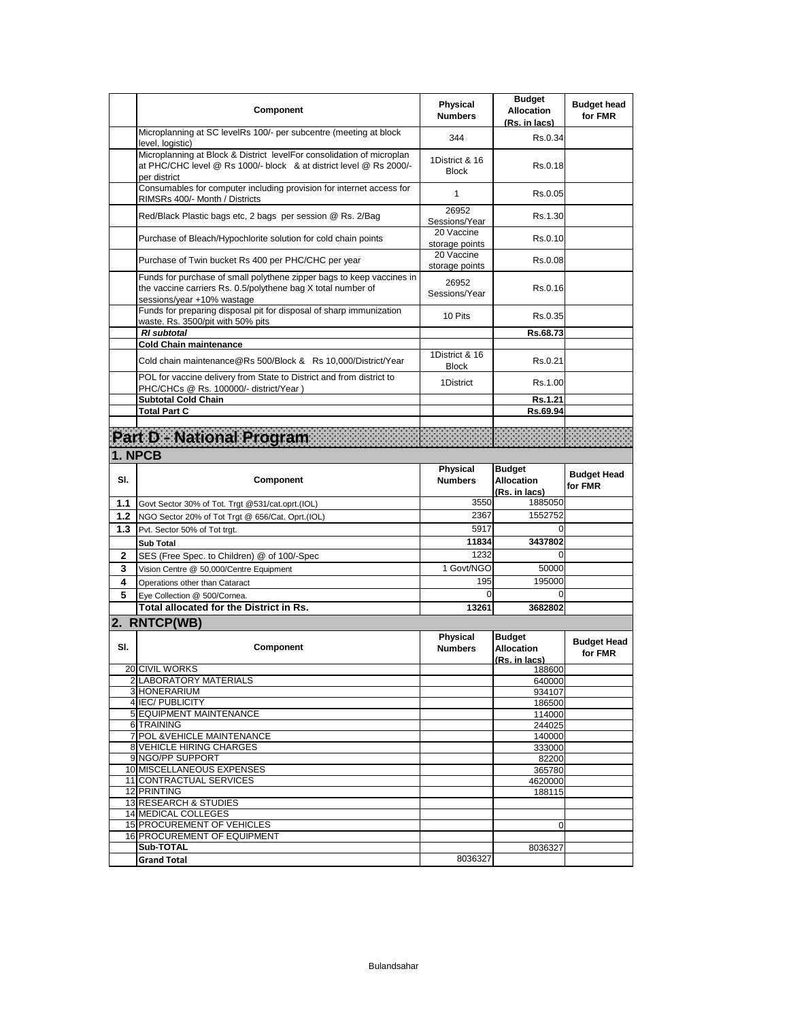|     | <b>Component</b>                                                                                                                                                    | Physical<br><b>Numbers</b>     | <b>Budget</b><br><b>Allocation</b><br>(Rs. in lacs) | <b>Budget head</b><br>for FMR |
|-----|---------------------------------------------------------------------------------------------------------------------------------------------------------------------|--------------------------------|-----------------------------------------------------|-------------------------------|
|     | Microplanning at SC levelRs 100/- per subcentre (meeting at block<br>level, logistic)                                                                               | 344                            | Rs.0.34                                             |                               |
|     | Microplanning at Block & District levelFor consolidation of microplan<br>at PHC/CHC level @ Rs 1000/- block & at district level @ Rs 2000/-<br>per district         | 1District & 16<br><b>Block</b> | Rs 0.18                                             |                               |
|     | Consumables for computer including provision for internet access for<br>RIMSRs 400/- Month / Districts                                                              | 1                              | Rs.0.05                                             |                               |
|     | Red/Black Plastic bags etc, 2 bags per session @ Rs. 2/Bag                                                                                                          | 26952<br>Sessions/Year         | Rs.1.30                                             |                               |
|     | Purchase of Bleach/Hypochlorite solution for cold chain points                                                                                                      | 20 Vaccine<br>storage points   | Rs.0.10                                             |                               |
|     | Purchase of Twin bucket Rs 400 per PHC/CHC per year                                                                                                                 | 20 Vaccine<br>storage points   | Rs 0.08                                             |                               |
|     | Funds for purchase of small polythene zipper bags to keep vaccines in<br>the vaccine carriers Rs. 0.5/polythene bag X total number of<br>sessions/year +10% wastage | 26952<br>Sessions/Year         | Rs.0.16                                             |                               |
|     | Funds for preparing disposal pit for disposal of sharp immunization<br>waste. Rs. 3500/pit with 50% pits                                                            | 10 Pits                        | Rs 0.35                                             |                               |
|     | <b>RI</b> subtotal                                                                                                                                                  |                                | Rs.68.73                                            |                               |
|     | <b>Cold Chain maintenance</b><br>Cold chain maintenance@Rs 500/Block & Rs 10,000/District/Year                                                                      | 1District & 16<br><b>Block</b> | Rs.0.21                                             |                               |
|     | POL for vaccine delivery from State to District and from district to<br>PHC/CHCs @ Rs. 100000/- district/Year)                                                      | 1District                      | Rs.1.00                                             |                               |
|     | <b>Subtotal Cold Chain</b>                                                                                                                                          |                                | Rs.1.21                                             |                               |
|     | <b>Total Part C</b>                                                                                                                                                 |                                | Rs.69.94                                            |                               |
|     | Part D. National Program                                                                                                                                            |                                |                                                     |                               |
|     | 1. NPCB                                                                                                                                                             |                                |                                                     |                               |
|     |                                                                                                                                                                     | Physical                       | <b>Budget</b>                                       |                               |
| SI. | Component                                                                                                                                                           | <b>Numbers</b>                 | <b>Allocation</b><br>(Rs. in lacs)                  | <b>Budget Head</b><br>for FMR |
| 1.1 | Govt Sector 30% of Tot. Trgt @531/cat.oprt.(IOL)                                                                                                                    | 3550                           | 1885050                                             |                               |
| 1.2 | NGO Sector 20% of Tot Trgt @ 656/Cat. Oprt.(IOL)                                                                                                                    | 2367                           | 1552752                                             |                               |
| 1.3 | Pvt. Sector 50% of Tot trgt.                                                                                                                                        | 5917                           | 0                                                   |                               |
|     | <b>Sub Total</b>                                                                                                                                                    | 11834                          | 3437802                                             |                               |
| 2   | SES (Free Spec. to Children) @ of 100/-Spec                                                                                                                         | 1232                           | 0                                                   |                               |
| 3   | Vision Centre @ 50,000/Centre Equipment                                                                                                                             | 1 Govt/NGO                     | 50000                                               |                               |
| 4   | Operations other than Cataract                                                                                                                                      | 195                            | 195000                                              |                               |
| 5   | Eve Collection @ 500/Cornea.<br><b>Total allocated for the District in Rs.</b>                                                                                      | 0<br>13261                     | 0<br>3682802                                        |                               |
|     |                                                                                                                                                                     |                                |                                                     |                               |
|     | 2. RNTCP(WB)                                                                                                                                                        |                                | <b>Budget</b>                                       |                               |
| SI. | Component                                                                                                                                                           | Physical<br><b>Numbers</b>     | <b>Allocation</b><br>(Rs. in lacs)                  | <b>Budget Head</b><br>for FMR |
|     | 20 CIVIL WORKS<br>2 LABORATORY MATERIALS                                                                                                                            |                                | 188600                                              |                               |
|     | 3 HONERARIUM                                                                                                                                                        |                                | 640000<br>934107                                    |                               |
|     | 4 IEC/ PUBLICITY                                                                                                                                                    |                                | 186500                                              |                               |
|     | 5 EQUIPMENT MAINTENANCE                                                                                                                                             |                                | 114000                                              |                               |
|     | 6 TRAINING                                                                                                                                                          |                                | 244025                                              |                               |
|     | 7 POL & VEHICLE MAINTENANCE<br>8 VEHICLE HIRING CHARGES                                                                                                             |                                | 140000<br>333000                                    |                               |
|     | 9 NGO/PP SUPPORT                                                                                                                                                    |                                | 82200                                               |                               |
|     | 10 MISCELLANEOUS EXPENSES                                                                                                                                           |                                | 365780                                              |                               |
|     | 11 CONTRACTUAL SERVICES                                                                                                                                             |                                | 4620000                                             |                               |
|     | 12 PRINTING<br>13 RESEARCH & STUDIES                                                                                                                                |                                | 188115                                              |                               |
|     | 14 MEDICAL COLLEGES                                                                                                                                                 |                                |                                                     |                               |
|     | 15 PROCUREMENT OF VEHICLES                                                                                                                                          |                                | 0                                                   |                               |
|     | 16 PROCUREMENT OF EQUIPMENT                                                                                                                                         |                                |                                                     |                               |
|     |                                                                                                                                                                     |                                |                                                     |                               |
|     | Sub-TOTAL<br><b>Grand Total</b>                                                                                                                                     | 8036327                        | 8036327                                             |                               |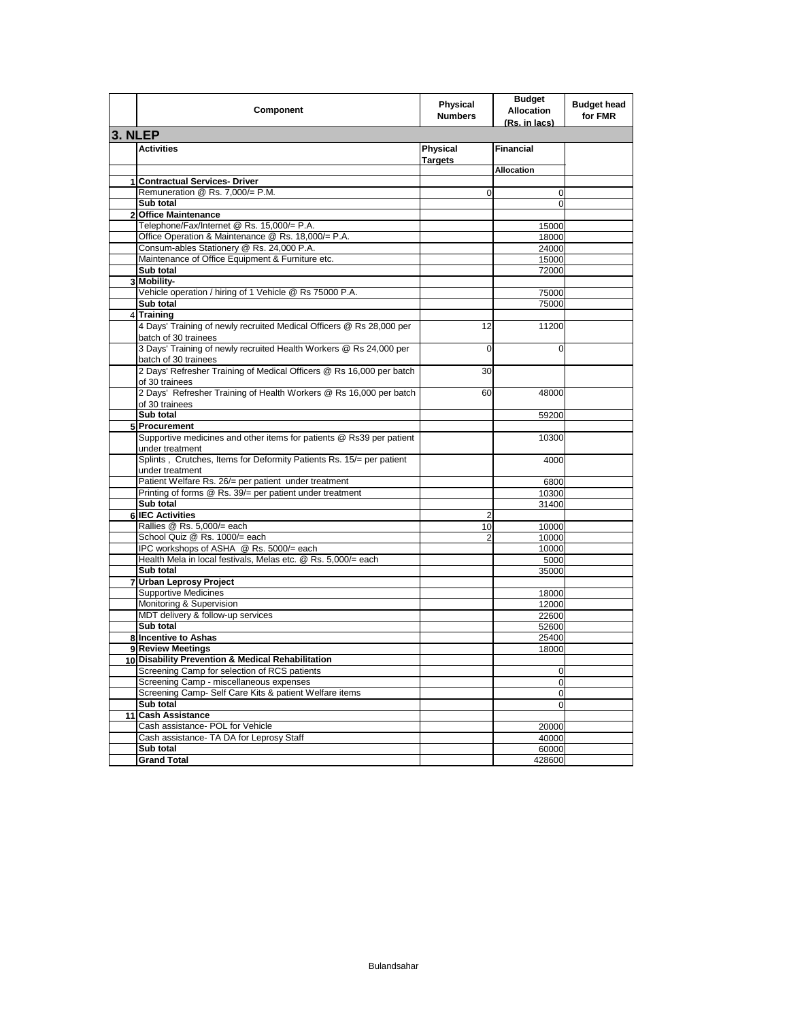|                | Component                                                                                         | Physical<br><b>Numbers</b> | <b>Budget</b><br><b>Allocation</b><br><u>(Rs. in lacs)</u> | <b>Budget head</b><br>for FMR |
|----------------|---------------------------------------------------------------------------------------------------|----------------------------|------------------------------------------------------------|-------------------------------|
| 3. NLEP        |                                                                                                   |                            |                                                            |                               |
|                | <b>Activities</b>                                                                                 | Physical<br><b>Targets</b> | <b>Financial</b>                                           |                               |
|                |                                                                                                   |                            | <b>Allocation</b>                                          |                               |
|                | 1 Contractual Services- Driver                                                                    |                            |                                                            |                               |
|                | Remuneration @ Rs. 7,000/= P.M.                                                                   | $\Omega$                   | $\mathbf 0$                                                |                               |
|                | Sub total                                                                                         |                            | $\Omega$                                                   |                               |
| $\overline{2}$ | <b>Office Maintenance</b>                                                                         |                            |                                                            |                               |
|                | Telephone/Fax/Internet @ Rs. 15,000/= P.A.                                                        |                            | 15000                                                      |                               |
|                | Office Operation & Maintenance @ Rs. 18,000/= P.A.                                                |                            | 18000                                                      |                               |
|                | Consum-ables Stationery @ Rs. 24,000 P.A.                                                         |                            | 24000                                                      |                               |
|                | Maintenance of Office Equipment & Furniture etc.                                                  |                            | 15000                                                      |                               |
|                | Sub total<br>3 Mobility-                                                                          |                            | 72000                                                      |                               |
|                | Vehicle operation / hiring of 1 Vehicle @ Rs 75000 P.A.                                           |                            | 75000                                                      |                               |
|                | Sub total                                                                                         |                            | 75000                                                      |                               |
| $\overline{4}$ | <b>Training</b>                                                                                   |                            |                                                            |                               |
|                | 4 Days' Training of newly recruited Medical Officers @ Rs 28,000 per                              | 12                         | 11200                                                      |                               |
|                | batch of 30 trainees                                                                              |                            |                                                            |                               |
|                | 3 Days' Training of newly recruited Health Workers @ Rs 24,000 per<br>batch of 30 trainees        | 0                          | 0                                                          |                               |
|                | 2 Days' Refresher Training of Medical Officers @ Rs 16,000 per batch<br>of 30 trainees            | 30                         |                                                            |                               |
|                | 2 Days' Refresher Training of Health Workers @ Rs 16,000 per batch<br>of 30 trainees              | 60                         | 48000                                                      |                               |
|                | Sub total                                                                                         |                            | 59200                                                      |                               |
|                | 5 Procurement                                                                                     |                            |                                                            |                               |
|                | Supportive medicines and other items for patients @ Rs39 per patient                              |                            | 10300                                                      |                               |
|                | under treatment<br>Splints, Crutches, Items for Deformity Patients Rs. 15/= per patient           |                            | 4000                                                       |                               |
|                | under treatment                                                                                   |                            |                                                            |                               |
|                | Patient Welfare Rs. 26/= per patient under treatment                                              |                            | 6800                                                       |                               |
|                | Printing of forms @ Rs. 39/= per patient under treatment                                          |                            | 10300                                                      |                               |
|                | Sub total                                                                                         |                            | 31400                                                      |                               |
|                | 6 IEC Activities                                                                                  | $\overline{2}$             |                                                            |                               |
|                | Rallies @ Rs. 5,000/= each                                                                        | 10                         | 10000                                                      |                               |
|                | School Quiz @ Rs. 1000/= each                                                                     | 2                          | 10000                                                      |                               |
|                | IPC workshops of ASHA @ Rs. 5000/= each                                                           |                            | 10000                                                      |                               |
|                | Health Mela in local festivals, Melas etc. @ Rs. 5,000/= each                                     |                            | 5000                                                       |                               |
|                | Sub total                                                                                         |                            | 35000                                                      |                               |
|                | 7 Urban Leprosy Project                                                                           |                            |                                                            |                               |
|                | <b>Supportive Medicines</b>                                                                       |                            | 18000                                                      |                               |
|                | Monitoring & Supervision                                                                          |                            | 12000                                                      |                               |
|                | MDT delivery & follow-up services                                                                 |                            | 22600                                                      |                               |
|                | Sub total                                                                                         |                            | 52600                                                      |                               |
|                | 8 Incentive to Ashas                                                                              |                            | 25400                                                      |                               |
|                | 9 Review Meetings                                                                                 |                            | 18000                                                      |                               |
|                | 10 Disability Prevention & Medical Rehabilitation                                                 |                            |                                                            |                               |
|                | Screening Camp for selection of RCS patients                                                      |                            | 0                                                          |                               |
|                | Screening Camp - miscellaneous expenses<br>Screening Camp- Self Care Kits & patient Welfare items |                            | $\mathbf{O}$                                               |                               |
|                | Sub total                                                                                         |                            | 0<br>0                                                     |                               |
|                | 11 Cash Assistance                                                                                |                            |                                                            |                               |
|                | Cash assistance- POL for Vehicle                                                                  |                            | 20000                                                      |                               |
|                | Cash assistance- TA DA for Leprosy Staff                                                          |                            | 40000                                                      |                               |
|                | Sub total                                                                                         |                            | 60000                                                      |                               |
|                | <b>Grand Total</b>                                                                                |                            | 428600                                                     |                               |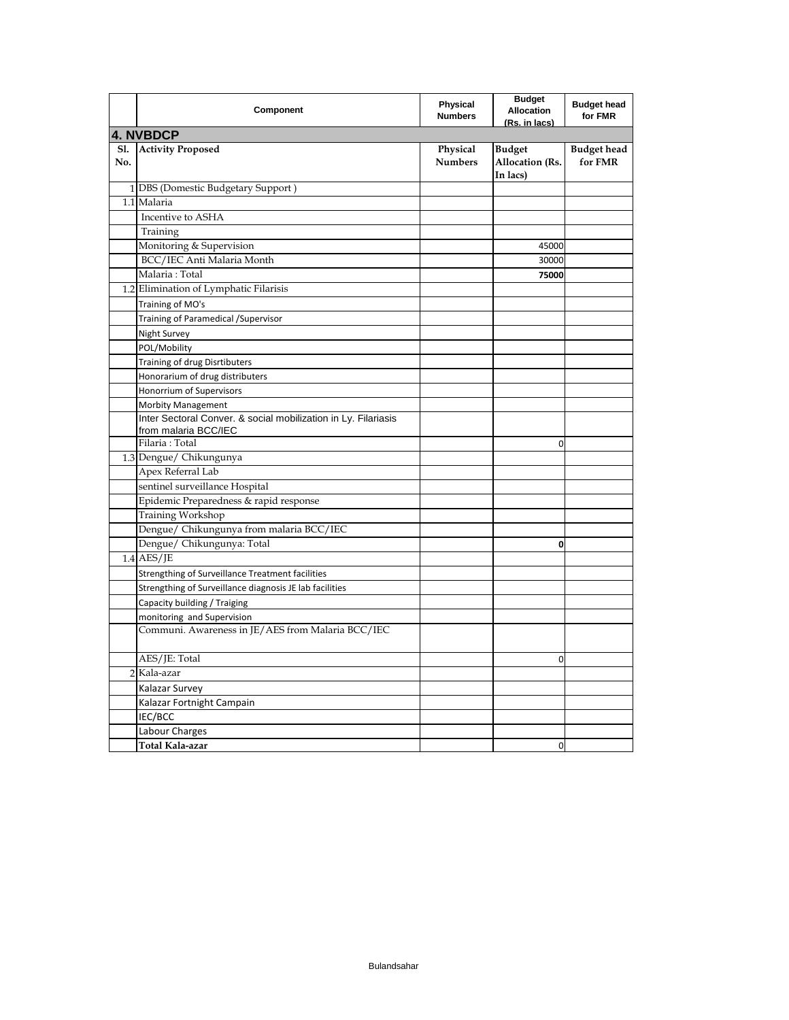|                   | Component                                                      | Physical<br><b>Numbers</b> | <b>Budget</b><br><b>Allocation</b><br>(Rs. in lacs) | <b>Budget head</b><br>for FMR |
|-------------------|----------------------------------------------------------------|----------------------------|-----------------------------------------------------|-------------------------------|
|                   | <b>4. NVBDCP</b>                                               |                            |                                                     |                               |
| <b>Sl.</b><br>No. | <b>Activity Proposed</b>                                       | Physical<br><b>Numbers</b> | <b>Budget</b><br>Allocation (Rs.<br>In lacs)        | <b>Budget head</b><br>for FMR |
|                   | 1 DBS (Domestic Budgetary Support)                             |                            |                                                     |                               |
|                   | 1.1 Malaria                                                    |                            |                                                     |                               |
|                   | Incentive to ASHA                                              |                            |                                                     |                               |
|                   | Training                                                       |                            |                                                     |                               |
|                   | Monitoring & Supervision                                       |                            | 45000                                               |                               |
|                   | BCC/IEC Anti Malaria Month                                     |                            | 30000                                               |                               |
|                   | Malaria: Total                                                 |                            | 75000                                               |                               |
|                   | 1.2 Elimination of Lymphatic Filarisis                         |                            |                                                     |                               |
|                   | Training of MO's                                               |                            |                                                     |                               |
|                   | Training of Paramedical / Supervisor                           |                            |                                                     |                               |
|                   | Night Survey                                                   |                            |                                                     |                               |
|                   | POL/Mobility                                                   |                            |                                                     |                               |
|                   | Training of drug Disrtibuters                                  |                            |                                                     |                               |
|                   | Honorarium of drug distributers                                |                            |                                                     |                               |
|                   | Honorrium of Supervisors                                       |                            |                                                     |                               |
|                   | <b>Morbity Management</b>                                      |                            |                                                     |                               |
|                   | Inter Sectoral Conver. & social mobilization in Ly. Filariasis |                            |                                                     |                               |
|                   | from malaria BCC/IEC                                           |                            |                                                     |                               |
|                   | Filaria: Total                                                 |                            | 0                                                   |                               |
|                   | 1.3 Dengue/ Chikungunya                                        |                            |                                                     |                               |
|                   | Apex Referral Lab                                              |                            |                                                     |                               |
|                   | sentinel surveillance Hospital                                 |                            |                                                     |                               |
|                   | Epidemic Preparedness & rapid response                         |                            |                                                     |                               |
|                   | Training Workshop                                              |                            |                                                     |                               |
|                   | Dengue/ Chikungunya from malaria BCC/IEC                       |                            |                                                     |                               |
|                   | Dengue/ Chikungunya: Total                                     |                            | 0                                                   |                               |
|                   | $1.4$ AES/JE                                                   |                            |                                                     |                               |
|                   | Strengthing of Surveillance Treatment facilities               |                            |                                                     |                               |
|                   | Strengthing of Surveillance diagnosis JE lab facilities        |                            |                                                     |                               |
|                   | Capacity building / Traiging                                   |                            |                                                     |                               |
|                   | monitoring and Supervision                                     |                            |                                                     |                               |
|                   | Communi. Awareness in JE/AES from Malaria BCC/IEC              |                            |                                                     |                               |
|                   | AES/JE: Total                                                  |                            | 0                                                   |                               |
|                   | 2 Kala-azar                                                    |                            |                                                     |                               |
|                   | Kalazar Survey                                                 |                            |                                                     |                               |
|                   | Kalazar Fortnight Campain                                      |                            |                                                     |                               |
|                   | IEC/BCC                                                        |                            |                                                     |                               |
|                   | Labour Charges                                                 |                            |                                                     |                               |
|                   | Total Kala-azar                                                |                            | 0                                                   |                               |